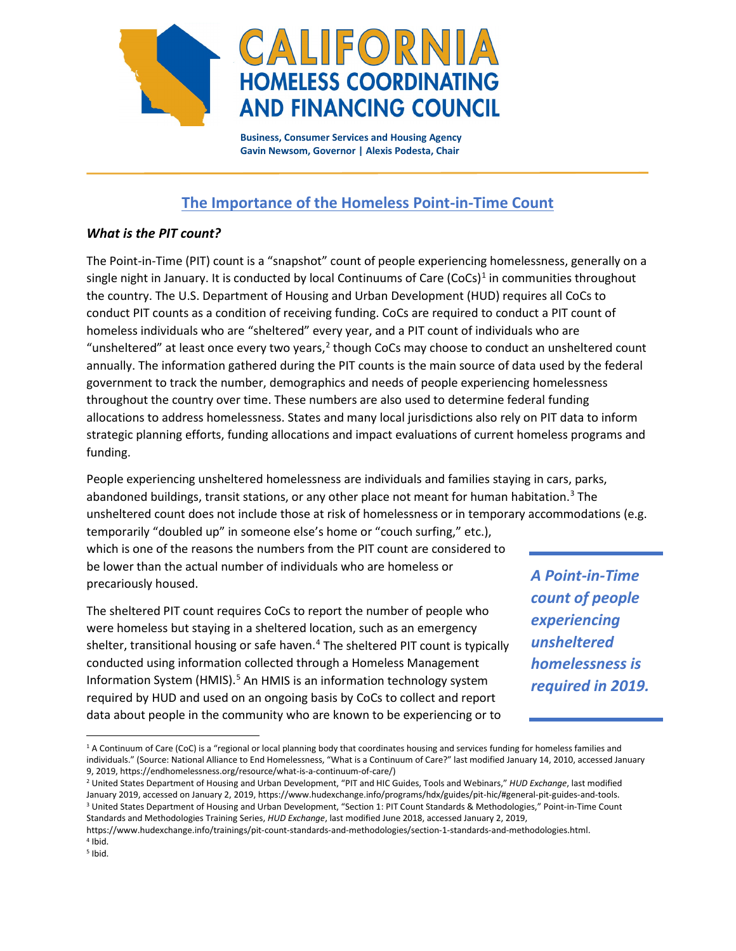

 **Business, Consumer Services and Housing Agency Gavin Newsom, Governor | Alexis Podesta, Chair**

## **The Importance of the Homeless Point-in-Time Count**

## *What is the PIT count?*

The Point-in-Time (PIT) count is a "snapshot" count of people experiencing homelessness, generally on a single night in January. It is conducted by local Continuums of Care  $(Cocs)^1$  $(Cocs)^1$  in communities throughout the country. The U.S. Department of Housing and Urban Development (HUD) requires all CoCs to conduct PIT counts as a condition of receiving funding. CoCs are required to conduct a PIT count of homeless individuals who are "sheltered" every year, and a PIT count of individuals who are "unsheltered" at least once every two years, $2$  though CoCs may choose to conduct an unsheltered count annually. The information gathered during the PIT counts is the main source of data used by the federal government to track the number, demographics and needs of people experiencing homelessness throughout the country over time. These numbers are also used to determine federal funding allocations to address homelessness. States and many local jurisdictions also rely on PIT data to inform strategic planning efforts, funding allocations and impact evaluations of current homeless programs and funding.

People experiencing unsheltered homelessness are individuals and families staying in cars, parks, abandoned buildings, transit stations, or any other place not meant for human habitation.<sup>[3](#page-0-2)</sup> The unsheltered count does not include those at risk of homelessness or in temporary accommodations (e.g.

temporarily "doubled up" in someone else's home or "couch surfing," etc.), which is one of the reasons the numbers from the PIT count are considered to be lower than the actual number of individuals who are homeless or precariously housed.

The sheltered PIT count requires CoCs to report the number of people who were homeless but staying in a sheltered location, such as an emergency shelter, transitional housing or safe haven.<sup>[4](#page-0-3)</sup> The sheltered PIT count is typically conducted using information collected through a Homeless Management Information System (HMIS).<sup>[5](#page-0-4)</sup> An HMIS is an information technology system required by HUD and used on an ongoing basis by CoCs to collect and report data about people in the community who are known to be experiencing or to

*A Point-in-Time count of people experiencing unsheltered homelessness is required in 2019.*

<span id="page-0-0"></span><sup>&</sup>lt;sup>1</sup> A Continuum of Care (CoC) is a "regional or local planning body that coordinates housing and services funding for homeless families and individuals." (Source: National Alliance to End Homelessness, "What is a Continuum of Care?" last modified January 14, 2010, accessed January 9, 2019, https://endhomelessness.org/resource/what-is-a-continuum-of-care/)

<span id="page-0-2"></span><span id="page-0-1"></span><sup>2</sup> United States Department of Housing and Urban Development, "PIT and HIC Guides, Tools and Webinars," *HUD Exchange*, last modified January 2019, accessed on January 2, 2019, https://www.hudexchange.info/programs/hdx/guides/pit-hic/#general-pit-guides-and-tools. <sup>3</sup> United States Department of Housing and Urban Development, "Section 1: PIT Count Standards & Methodologies," Point-in-Time Count Standards and Methodologies Training Series, *HUD Exchange*, last modified June 2018, accessed January 2, 2019,

https://www.hudexchange.info/trainings/pit-count-standards-and-methodologies/section-1-standards-and-methodologies.html.  $4$  Ibid.

<span id="page-0-4"></span><span id="page-0-3"></span> $<sup>5</sup>$  Ibid.</sup>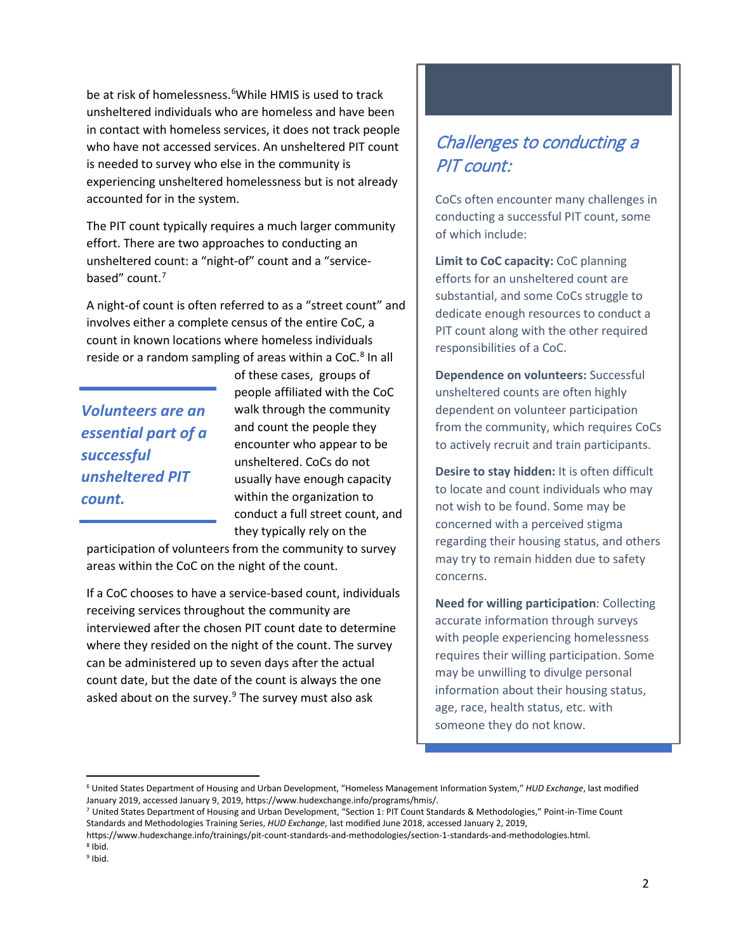be at risk of homelessness.<sup>[6](#page-1-0)</sup>While HMIS is used to track unsheltered individuals who are homeless and have been in contact with homeless services, it does not track people who have not accessed services. An unsheltered PIT count is needed to survey who else in the community is experiencing unsheltered homelessness but is not already accounted for in the system.

The PIT count typically requires a much larger community effort. There are two approaches to conducting an unsheltered count: a "night-of" count and a "servicebased" count. [7](#page-1-1)

A night-of count is often referred to as a "street count" and involves either a complete census of the entire CoC, a count in known locations where homeless individuals reside or a random sampling of areas within a CoC.<sup>[8](#page-1-2)</sup> In all

*Volunteers are an essential part of a successful unsheltered PIT count.* 

of these cases, groups of people affiliated with the CoC walk through the community and count the people they encounter who appear to be unsheltered. CoCs do not usually have enough capacity within the organization to conduct a full street count, and they typically rely on the

participation of volunteers from the community to survey areas within the CoC on the night of the count.

If a CoC chooses to have a service-based count, individuals receiving services throughout the community are interviewed after the chosen PIT count date to determine where they resided on the night of the count. The survey can be administered up to seven days after the actual count date, but the date of the count is always the one asked about on the survey. $9$  The survey must also ask

# Challenges to conducting a PIT count:

CoCs often encounter many challenges in conducting a successful PIT count, some of which include:

**Limit to CoC capacity:** CoC planning efforts for an unsheltered count are substantial, and some CoCs struggle to dedicate enough resources to conduct a PIT count along with the other required responsibilities of a CoC.

**Dependence on volunteers:** Successful unsheltered counts are often highly dependent on volunteer participation from the community, which requires CoCs to actively recruit and train participants.

**Desire to stay hidden:** It is often difficult to locate and count individuals who may not wish to be found. Some may be concerned with a perceived stigma regarding their housing status, and others may try to remain hidden due to safety concerns.

**Need for willing participation**: Collecting accurate information through surveys with people experiencing homelessness requires their willing participation. Some may be unwilling to divulge personal information about their housing status, age, race, health status, etc. with someone they do not know.

 $\overline{\phantom{a}}$ 

<span id="page-1-0"></span><sup>6</sup> United States Department of Housing and Urban Development, "Homeless Management Information System," *HUD Exchange*, last modified January 2019, accessed January 9, 2019, https://www.hudexchange.info/programs/hmis/.<br>7 United States Department of Housing and Urban Development, "Section 1: PIT Count Standards & Methodologies," Point-in-Time Count

<span id="page-1-1"></span>Standards and Methodologies Training Series, *HUD Exchange*, last modified June 2018, accessed January 2, 2019,

https://www.hudexchange.info/trainings/pit-count-standards-and-methodologies/section-1-standards-and-methodologies.html. <sup>8</sup> Ibid.

<span id="page-1-3"></span><span id="page-1-2"></span><sup>9</sup> Ibid.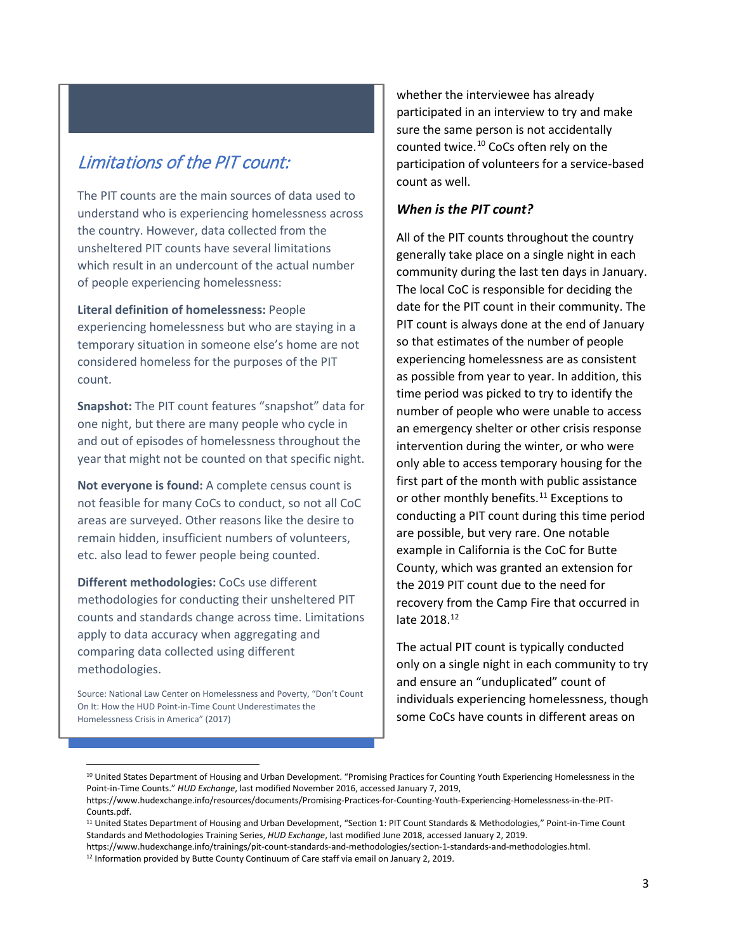## Limitations of the PIT count:

The PIT counts are the main sources of data used to understand who is experiencing homelessness across the country. However, data collected from the unsheltered PIT counts have several limitations which result in an undercount of the actual number of people experiencing homelessness:

**Literal definition of homelessness:** People experiencing homelessness but who are staying in a temporary situation in someone else's home are not considered homeless for the purposes of the PIT count.

**Snapshot:** The PIT count features "snapshot" data for one night, but there are many people who cycle in and out of episodes of homelessness throughout the year that might not be counted on that specific night.

**Not everyone is found:** A complete census count is not feasible for many CoCs to conduct, so not all CoC areas are surveyed. Other reasons like the desire to remain hidden, insufficient numbers of volunteers, etc. also lead to fewer people being counted.

**Different methodologies:** CoCs use different methodologies for conducting their unsheltered PIT counts and standards change across time. Limitations apply to data accuracy when aggregating and comparing data collected using different methodologies.

Source: National Law Center on Homelessness and Poverty, "Don't Count On It: How the HUD Point-in-Time Count Underestimates the Homelessness Crisis in America" (2017)

 $\overline{\phantom{a}}$ 

whether the interviewee has already participated in an interview to try and make sure the same person is not accidentally counted twice.<sup>[10](#page-2-0)</sup> CoCs often rely on the participation of volunteers for a service-based count as well.

#### *When is the PIT count?*

All of the PIT counts throughout the country generally take place on a single night in each community during the last ten days in January. The local CoC is responsible for deciding the date for the PIT count in their community. The PIT count is always done at the end of January so that estimates of the number of people experiencing homelessness are as consistent as possible from year to year. In addition, this time period was picked to try to identify the number of people who were unable to access an emergency shelter or other crisis response intervention during the winter, or who were only able to access temporary housing for the first part of the month with public assistance or other monthly benefits. [11](#page-2-1) Exceptions to conducting a PIT count during this time period are possible, but very rare. One notable example in California is the CoC for Butte County, which was granted an extension for the 2019 PIT count due to the need for recovery from the Camp Fire that occurred in late 2018.<sup>[12](#page-2-2)</sup>

The actual PIT count is typically conducted only on a single night in each community to try and ensure an "unduplicated" count of individuals experiencing homelessness, though some CoCs have counts in different areas on

<span id="page-2-0"></span><sup>&</sup>lt;sup>10</sup> United States Department of Housing and Urban Development. "Promising Practices for Counting Youth Experiencing Homelessness in the Point-in-Time Counts." *HUD Exchange*, last modified November 2016, accessed January 7, 2019,

https://www.hudexchange.info/resources/documents/Promising-Practices-for-Counting-Youth-Experiencing-Homelessness-in-the-PIT-Counts.pdf.

<span id="page-2-1"></span><sup>11</sup> United States Department of Housing and Urban Development, "Section 1: PIT Count Standards & Methodologies," Point-in-Time Count Standards and Methodologies Training Series, *HUD Exchange*, last modified June 2018, accessed January 2, 2019.

<span id="page-2-2"></span>https://www.hudexchange.info/trainings/pit-count-standards-and-methodologies/section-1-standards-and-methodologies.html. 12 Information provided by Butte County Continuum of Care staff via email on January 2, 2019.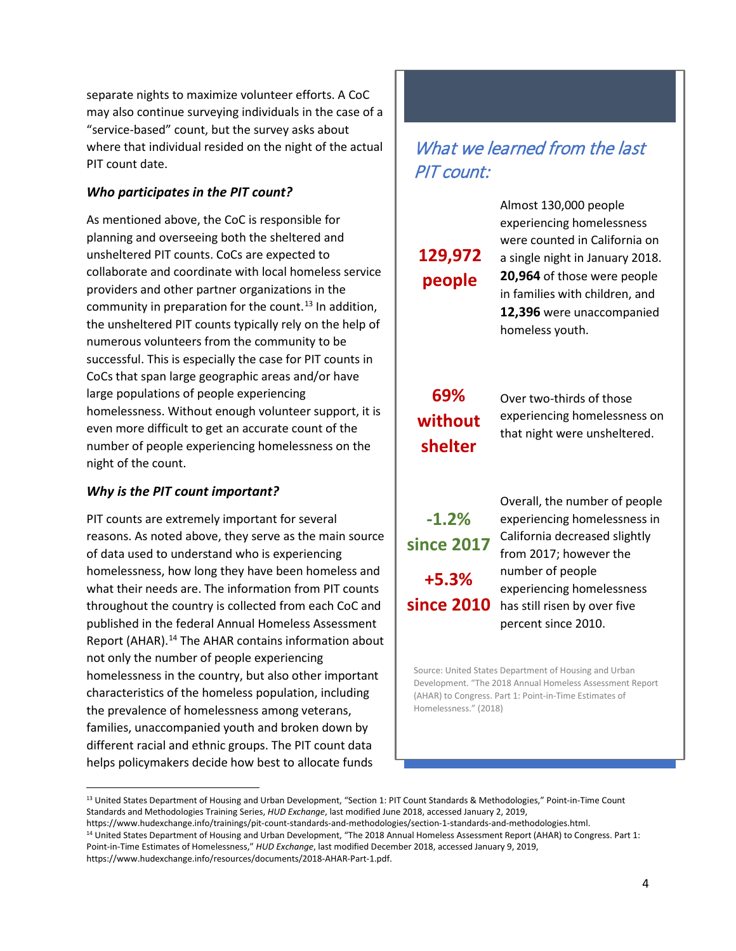separate nights to maximize volunteer efforts. A CoC may also continue surveying individuals in the case of a "service-based" count, but the survey asks about where that individual resided on the night of the actual PIT count date.

## *Who participates in the PIT count?*

As mentioned above, the CoC is responsible for planning and overseeing both the sheltered and unsheltered PIT counts. CoCs are expected to collaborate and coordinate with local homeless service providers and other partner organizations in the community in preparation for the count.<sup>[13](#page-3-0)</sup> In addition, the unsheltered PIT counts typically rely on the help of numerous volunteers from the community to be successful. This is especially the case for PIT counts in CoCs that span large geographic areas and/or have large populations of people experiencing homelessness. Without enough volunteer support, it is even more difficult to get an accurate count of the number of people experiencing homelessness on the night of the count.

## *Why is the PIT count important?*

 $\overline{\phantom{a}}$ 

PIT counts are extremely important for several reasons. As noted above, they serve as the main source of data used to understand who is experiencing homelessness, how long they have been homeless and what their needs are. The information from PIT counts throughout the country is collected from each CoC and published in the federal Annual Homeless Assessment Report (AHAR).[14](#page-3-1) The AHAR contains information about not only the number of people experiencing homelessness in the country, but also other important characteristics of the homeless population, including the prevalence of homelessness among veterans, families, unaccompanied youth and broken down by different racial and ethnic groups. The PIT count data helps policymakers decide how best to allocate funds

# What we learned from the last PIT count:

Almost 130,000 people experiencing homelessness were counted in California on **129,972** a single night in January 2018. **people 20,964** of those were people in families with children, and **12,396** were unaccompanied homeless youth.

# **shelter**

**69%** Over two-thirds of those without experiencing homelessness on that night were unsheltered.

Overall, the number of people **-1.2%** experiencing homelessness in since 2017 California decreased slightly from 2017; however the **+5.3%** number of people experiencing homelessness **since 2010** has still risen by over five percent since 2010.

Source: United States Department of Housing and Urban Development. "The 2018 Annual Homeless Assessment Report (AHAR) to Congress. Part 1: Point-in-Time Estimates of Homelessness." (2018)

<span id="page-3-0"></span><sup>13</sup> United States Department of Housing and Urban Development, "Section 1: PIT Count Standards & Methodologies," Point-in-Time Count Standards and Methodologies Training Series, *HUD Exchange*, last modified June 2018, accessed January 2, 2019,

<span id="page-3-1"></span>https://www.hudexchange.info/trainings/pit-count-standards-and-methodologies/section-1-standards-and-methodologies.html. <sup>14</sup> United States Department of Housing and Urban Development, "The 2018 Annual Homeless Assessment Report (AHAR) to Congress. Part 1: Point-in-Time Estimates of Homelessness," *HUD Exchange*, last modified December 2018, accessed January 9, 2019, https://www.hudexchange.info/resources/documents/2018-AHAR-Part-1.pdf.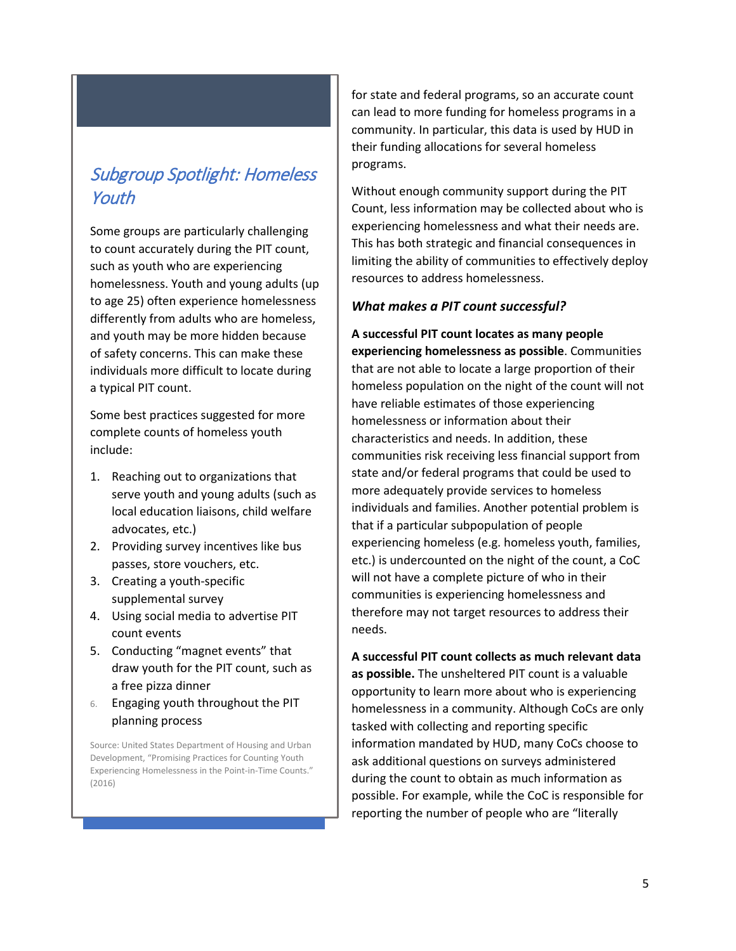## Subgroup Spotlight: Homeless Youth

Some groups are particularly challenging to count accurately during the PIT count, such as youth who are experiencing homelessness. Youth and young adults (up to age 25) often experience homelessness differently from adults who are homeless, and youth may be more hidden because of safety concerns. This can make these individuals more difficult to locate during a typical PIT count.

Some best practices suggested for more complete counts of homeless youth include:

- 1. Reaching out to organizations that serve youth and young adults (such as local education liaisons, child welfare advocates, etc.)
- 2. Providing survey incentives like bus passes, store vouchers, etc.
- 3. Creating a youth-specific supplemental survey
- 4. Using social media to advertise PIT count events
- 5. Conducting "magnet events" that draw youth for the PIT count, such as a free pizza dinner
- 6. Engaging youth throughout the PIT planning process

Source: United States Department of Housing and Urban Development, "Promising Practices for Counting Youth Experiencing Homelessness in the Point-in-Time Counts." (2016)

for state and federal programs, so an accurate count can lead to more funding for homeless programs in a community. In particular, this data is used by HUD in their funding allocations for several homeless programs.

Without enough community support during the PIT Count, less information may be collected about who is experiencing homelessness and what their needs are. This has both strategic and financial consequences in limiting the ability of communities to effectively deploy resources to address homelessness.

## *What makes a PIT count successful?*

**A successful PIT count locates as many people experiencing homelessness as possible**. Communities that are not able to locate a large proportion of their homeless population on the night of the count will not have reliable estimates of those experiencing homelessness or information about their characteristics and needs. In addition, these communities risk receiving less financial support from state and/or federal programs that could be used to more adequately provide services to homeless individuals and families. Another potential problem is that if a particular subpopulation of people experiencing homeless (e.g. homeless youth, families, etc.) is undercounted on the night of the count, a CoC will not have a complete picture of who in their communities is experiencing homelessness and therefore may not target resources to address their needs.

**A successful PIT count collects as much relevant data as possible.** The unsheltered PIT count is a valuable opportunity to learn more about who is experiencing homelessness in a community. Although CoCs are only tasked with collecting and reporting specific information mandated by HUD, many CoCs choose to ask additional questions on surveys administered during the count to obtain as much information as possible. For example, while the CoC is responsible for reporting the number of people who are "literally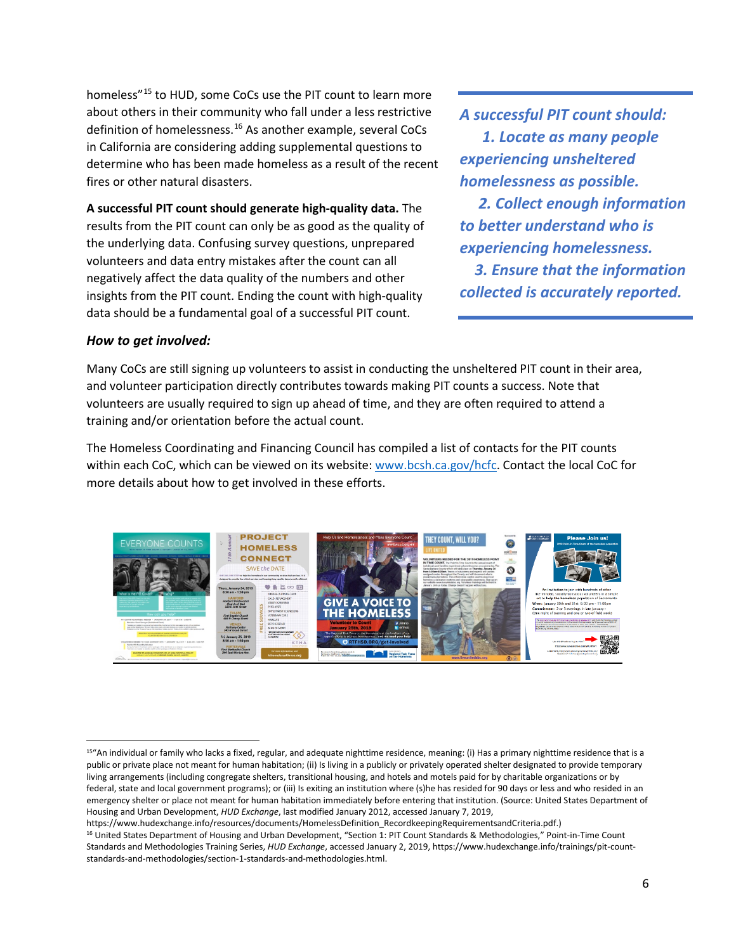homeless"[15](#page-5-0) to HUD, some CoCs use the PIT count to learn more about others in their community who fall under a less restrictive definition of homelessness.<sup>[16](#page-5-1)</sup> As another example, several CoCs in California are considering adding supplemental questions to determine who has been made homeless as a result of the recent fires or other natural disasters.

**A successful PIT count should generate high-quality data.** The results from the PIT count can only be as good as the quality of the underlying data. Confusing survey questions, unprepared volunteers and data entry mistakes after the count can all negatively affect the data quality of the numbers and other insights from the PIT count. Ending the count with high-quality data should be a fundamental goal of a successful PIT count.

*A successful PIT count should: 1. Locate as many people experiencing unsheltered homelessness as possible.*

 *2. Collect enough information to better understand who is experiencing homelessness.*

 *3. Ensure that the information collected is accurately reported.*

#### *How to get involved:*

l

Many CoCs are still signing up volunteers to assist in conducting the unsheltered PIT count in their area, and volunteer participation directly contributes towards making PIT counts a success. Note that volunteers are usually required to sign up ahead of time, and they are often required to attend a training and/or orientation before the actual count.

The Homeless Coordinating and Financing Council has compiled a list of contacts for the PIT counts within each CoC, which can be viewed on its website: [www.bcsh.ca.gov/hcfc.](http://www.bcsh.ca.gov/hcfc) Contact the local CoC for more details about how to get involved in these efforts.



<span id="page-5-0"></span><sup>&</sup>lt;sup>15"</sup>An individual or family who lacks a fixed, regular, and adequate nighttime residence, meaning: (i) Has a primary nighttime residence that is a public or private place not meant for human habitation; (ii) Is living in a publicly or privately operated shelter designated to provide temporary living arrangements (including congregate shelters, transitional housing, and hotels and motels paid for by charitable organizations or by federal, state and local government programs); or (iii) Is exiting an institution where (s)he has resided for 90 days or less and who resided in an emergency shelter or place not meant for human habitation immediately before entering that institution. (Source: United States Department of Housing and Urban Development, *HUD Exchange*, last modified January 2012, accessed January 7, 2019,

<span id="page-5-1"></span>https://www.hudexchange.info/resources/documents/HomelessDefinition\_RecordkeepingRequirementsandCriteria.pdf.)<br><sup>16</sup> United States Department of Housing and Urban Development, "Section 1: PIT Count Standards & Methodologies Standards and Methodologies Training Series, *HUD Exchange*, accessed January 2, 2019, https://www.hudexchange.info/trainings/pit-countstandards-and-methodologies/section-1-standards-and-methodologies.html.